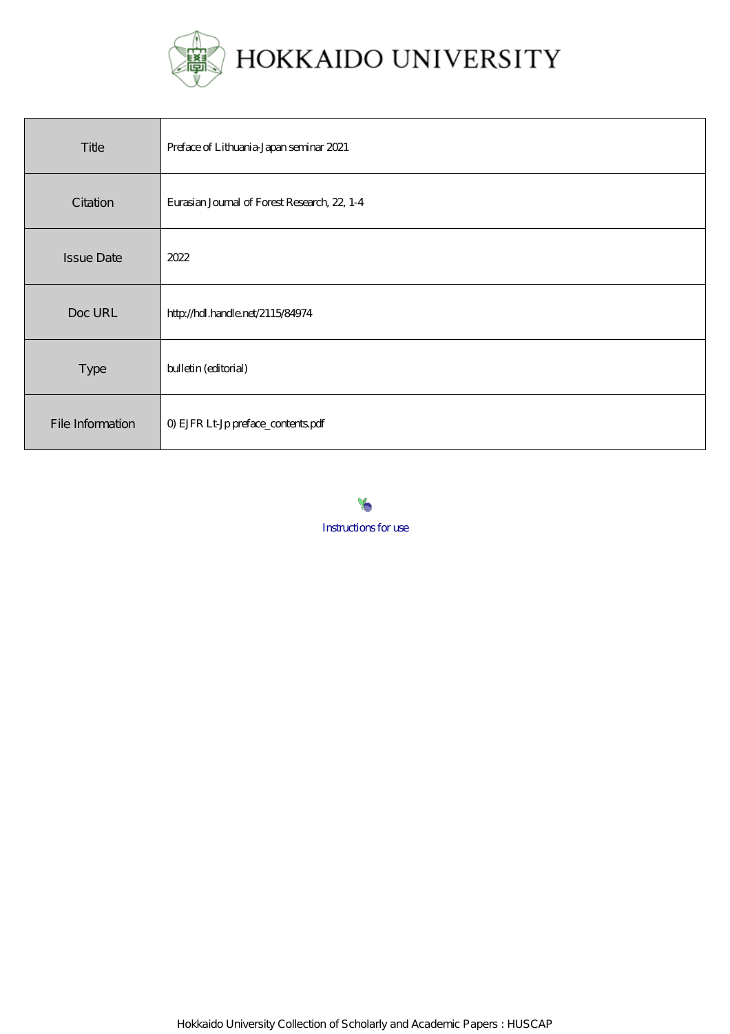

| Title             | Preface of Lithuania-Japan seminar 2021      |
|-------------------|----------------------------------------------|
| Citation          | Eurasian Journal of Forest Research, 22, 1-4 |
| <b>Issue Date</b> | 2022                                         |
| Doc URL           | http://hdl.handle.net/2115/84974             |
| Type              | bulletin (editorial)                         |
| File Information  | 0) EJFR Lt-Jp preface_contents.pdf           |



Hokkaido University Collection of Scholarly and Academic Papers : HUSCAP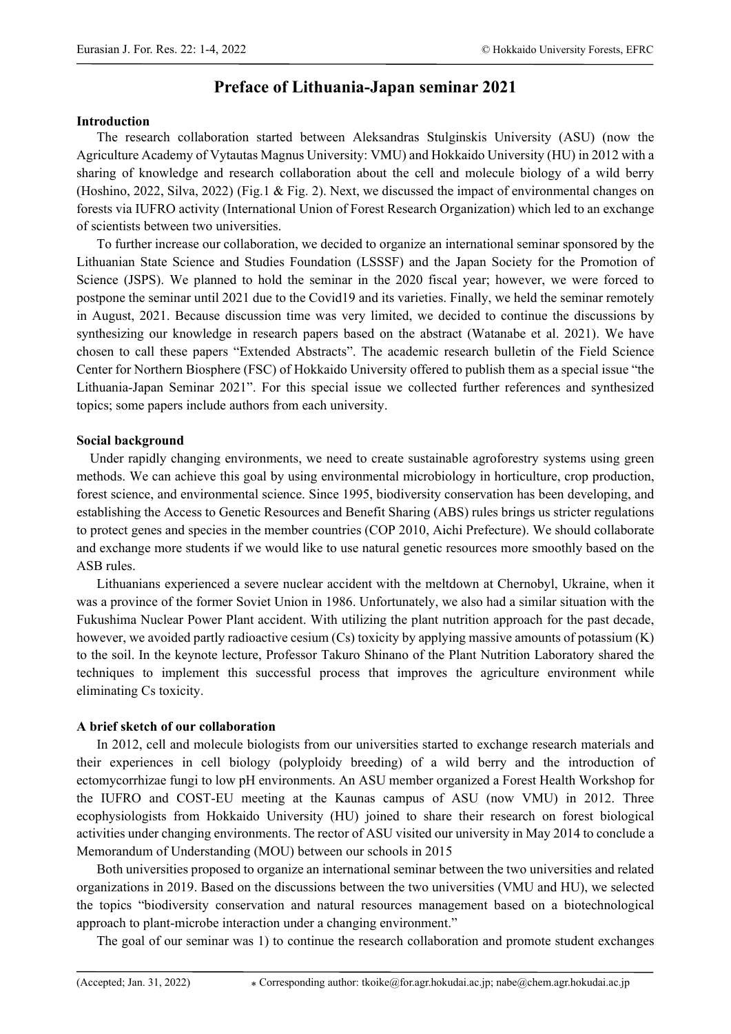# **Preface of Lithuania-Japan seminar 2021**

### **Introduction**

The research collaboration started between Aleksandras Stulginskis University (ASU) (now the Agriculture Academy of Vytautas Magnus University: VMU) and Hokkaido University (HU) in 2012 with a sharing of knowledge and research collaboration about the cell and molecule biology of a wild berry (Hoshino, 2022, Silva, 2022) (Fig.1 & Fig. 2). Next, we discussed the impact of environmental changes on forests via IUFRO activity (International Union of Forest Research Organization) which led to an exchange of scientists between two universities.

To further increase our collaboration, we decided to organize an international seminar sponsored by the Lithuanian State Science and Studies Foundation (LSSSF) and the Japan Society for the Promotion of Science (JSPS). We planned to hold the seminar in the 2020 fiscal year; however, we were forced to postpone the seminar until 2021 due to the Covid19 and its varieties. Finally, we held the seminar remotely in August, 2021. Because discussion time was very limited, we decided to continue the discussions by synthesizing our knowledge in research papers based on the abstract (Watanabe et al. 2021). We have chosen to call these papers "Extended Abstracts". The academic research bulletin of the Field Science Center for Northern Biosphere (FSC) of Hokkaido University offered to publish them as a special issue "the Lithuania-Japan Seminar 2021". For this special issue we collected further references and synthesized topics; some papers include authors from each university.

### **Social background**

Under rapidly changing environments, we need to create sustainable agroforestry systems using green methods. We can achieve this goal by using environmental microbiology in horticulture, crop production, forest science, and environmental science. Since 1995, biodiversity conservation has been developing, and establishing the Access to Genetic Resources and Benefit Sharing (ABS) rules brings us stricter regulations to protect genes and species in the member countries (COP 2010, Aichi Prefecture). We should collaborate and exchange more students if we would like to use natural genetic resources more smoothly based on the ASB rules.

Lithuanians experienced a severe nuclear accident with the meltdown at Chernobyl, Ukraine, when it was a province of the former Soviet Union in 1986. Unfortunately, we also had a similar situation with the Fukushima Nuclear Power Plant accident. With utilizing the plant nutrition approach for the past decade, however, we avoided partly radioactive cesium (Cs) toxicity by applying massive amounts of potassium (K) to the soil. In the keynote lecture, Professor Takuro Shinano of the Plant Nutrition Laboratory shared the techniques to implement this successful process that improves the agriculture environment while eliminating Cs toxicity.

### **A brief sketch of our collaboration**

In 2012, cell and molecule biologists from our universities started to exchange research materials and their experiences in cell biology (polyploidy breeding) of a wild berry and the introduction of ectomycorrhizae fungi to low pH environments. An ASU member organized a Forest Health Workshop for the IUFRO and COST-EU meeting at the Kaunas campus of ASU (now VMU) in 2012. Three ecophysiologists from Hokkaido University (HU) joined to share their research on forest biological activities under changing environments. The rector of ASU visited our university in May 2014 to conclude a Memorandum of Understanding (MOU) between our schools in 2015

Both universities proposed to organize an international seminar between the two universities and related organizations in 2019. Based on the discussions between the two universities (VMU and HU), we selected the topics "biodiversity conservation and natural resources management based on a biotechnological approach to plant-microbe interaction under a changing environment."

The goal of our seminar was 1) to continue the research collaboration and promote student exchanges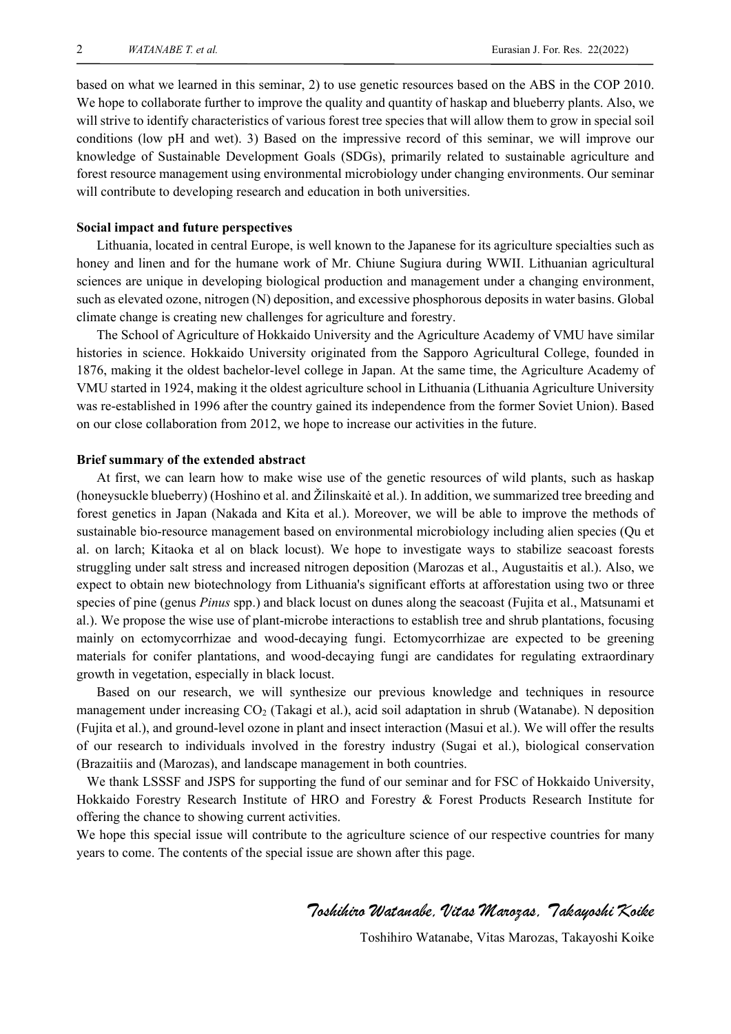based on what we learned in this seminar, 2) to use genetic resources based on the ABS in the COP 2010. We hope to collaborate further to improve the quality and quantity of haskap and blueberry plants. Also, we will strive to identify characteristics of various forest tree species that will allow them to grow in special soil conditions (low pH and wet). 3) Based on the impressive record of this seminar, we will improve our knowledge of Sustainable Development Goals (SDGs), primarily related to sustainable agriculture and forest resource management using environmental microbiology under changing environments. Our seminar will contribute to developing research and education in both universities.

### **Social impact and future perspectives**

Lithuania, located in central Europe, is well known to the Japanese for its agriculture specialties such as honey and linen and for the humane work of Mr. Chiune Sugiura during WWII. Lithuanian agricultural sciences are unique in developing biological production and management under a changing environment, such as elevated ozone, nitrogen (N) deposition, and excessive phosphorous deposits in water basins. Global climate change is creating new challenges for agriculture and forestry.

The School of Agriculture of Hokkaido University and the Agriculture Academy of VMU have similar histories in science. Hokkaido University originated from the Sapporo Agricultural College, founded in 1876, making it the oldest bachelor-level college in Japan. At the same time, the Agriculture Academy of VMU started in 1924, making it the oldest agriculture school in Lithuania (Lithuania Agriculture University was re-established in 1996 after the country gained its independence from the former Soviet Union). Based on our close collaboration from 2012, we hope to increase our activities in the future.

### **Brief summary of the extended abstract**

At first, we can learn how to make wise use of the genetic resources of wild plants, such as haskap (honeysuckle blueberry) (Hoshino et al. and Žilinskaitė et al.). In addition, we summarized tree breeding and forest genetics in Japan (Nakada and Kita et al.). Moreover, we will be able to improve the methods of sustainable bio-resource management based on environmental microbiology including alien species (Qu et al. on larch; Kitaoka et al on black locust). We hope to investigate ways to stabilize seacoast forests struggling under salt stress and increased nitrogen deposition (Marozas et al., Augustaitis et al.). Also, we expect to obtain new biotechnology from Lithuania's significant efforts at afforestation using two or three species of pine (genus *Pinus* spp.) and black locust on dunes along the seacoast (Fujita et al., Matsunami et al.). We propose the wise use of plant-microbe interactions to establish tree and shrub plantations, focusing mainly on ectomycorrhizae and wood-decaying fungi. Ectomycorrhizae are expected to be greening materials for conifer plantations, and wood-decaying fungi are candidates for regulating extraordinary growth in vegetation, especially in black locust.

Based on our research, we will synthesize our previous knowledge and techniques in resource management under increasing CO2 (Takagi et al.), acid soil adaptation in shrub (Watanabe). N deposition (Fujita et al.), and ground-level ozone in plant and insect interaction (Masui et al.). We will offer the results of our research to individuals involved in the forestry industry (Sugai et al.), biological conservation (Brazaitiis and (Marozas), and landscape management in both countries.

 We thank LSSSF and JSPS for supporting the fund of our seminar and for FSC of Hokkaido University, Hokkaido Forestry Research Institute of HRO and Forestry & Forest Products Research Institute for offering the chance to showing current activities.

We hope this special issue will contribute to the agriculture science of our respective countries for many years to come. The contents of the special issue are shown after this page.

## Toshihiro Watanabe, Vitas Marozas, Takayoshi Koike

Toshihiro Watanabe, Vitas Marozas, Takayoshi Koike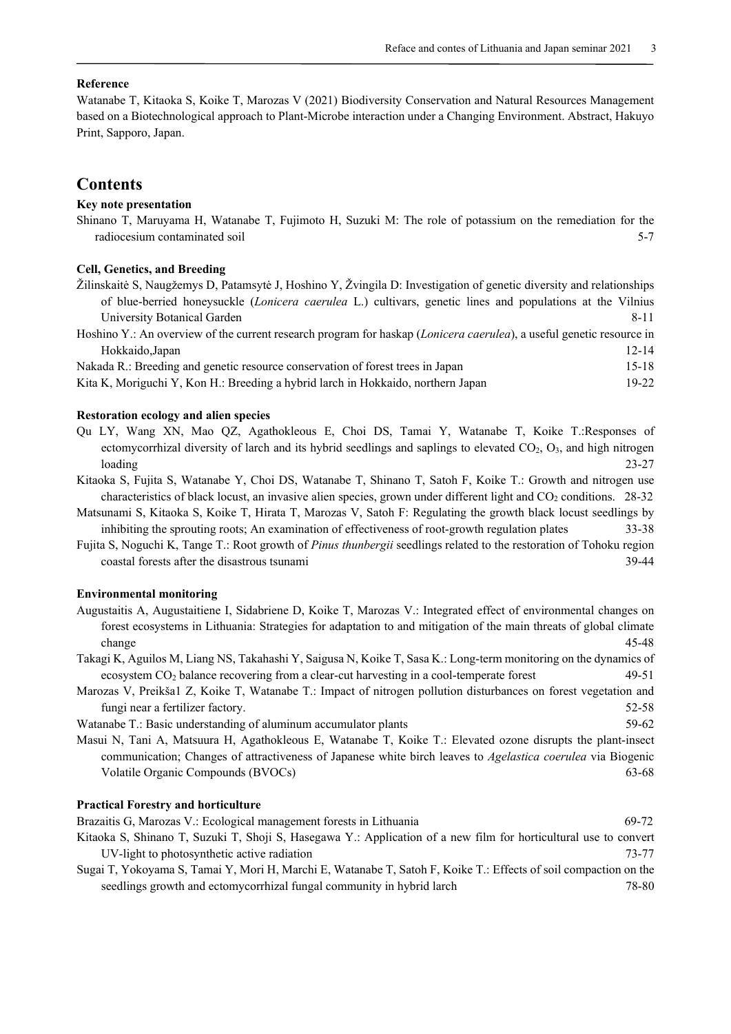### **Reference**

Watanabe T, Kitaoka S, Koike T, Marozas V (2021) Biodiversity Conservation and Natural Resources Management based on a Biotechnological approach to Plant-Microbe interaction under a Changing Environment. Abstract, Hakuyo Print, Sapporo, Japan.

### **Contents**

### **Key note presentation**

Shinano T, Maruyama H, Watanabe T, Fujimoto H, Suzuki M: The role of potassium on the remediation for the radiocesium contaminated soil 5-7

### **Cell, Genetics, and Breeding**

| Žilinskaitė S, Naugžemys D, Patamsytė J, Hoshino Y, Žvingila D: Investigation of genetic diversity and relationships         |           |
|------------------------------------------------------------------------------------------------------------------------------|-----------|
| of blue-berried honeysuckle ( <i>Lonicera caerulea</i> L.) cultivars, genetic lines and populations at the Vilnius           |           |
| University Botanical Garden                                                                                                  | 8-11      |
| Hoshino Y.: An overview of the current research program for haskap <i>(Lonicera caerulea)</i> , a useful genetic resource in |           |
| Hokkaido, Japan                                                                                                              | $12 - 14$ |
| Nakada R.: Breeding and genetic resource conservation of forest trees in Japan                                               | $15 - 18$ |
| Kita K, Moriguchi Y, Kon H.: Breeding a hybrid larch in Hokkaido, northern Japan                                             | $19-22$   |

#### **Restoration ecology and alien species**

- Qu LY, Wang XN, Mao QZ, Agathokleous E, Choi DS, Tamai Y, Watanabe T, Koike T.:Responses of ectomycorrhizal diversity of larch and its hybrid seedlings and saplings to elevated  $CO<sub>2</sub>, O<sub>3</sub>$ , and high nitrogen loading 23-27
- Kitaoka S, Fujita S, Watanabe Y, Choi DS, Watanabe T, Shinano T, Satoh F, Koike T.: Growth and nitrogen use characteristics of black locust, an invasive alien species, grown under different light and  $CO<sub>2</sub>$  conditions. 28-32
- Matsunami S, Kitaoka S, Koike T, Hirata T, Marozas V, Satoh F: Regulating the growth black locust seedlings by inhibiting the sprouting roots; An examination of effectiveness of root-growth regulation plates 33-38
- Fujita S, Noguchi K, Tange T.: Root growth of *Pinus thunbergii* seedlings related to the restoration of Tohoku region coastal forests after the disastrous tsunami 39-44

#### **Environmental monitoring**

- Augustaitis A, Augustaitiene I, Sidabriene D, Koike T, Marozas V.: Integrated effect of environmental changes on forest ecosystems in Lithuania: Strategies for adaptation to and mitigation of the main threats of global climate change 45-48
- Takagi K, Aguilos M, Liang NS, Takahashi Y, Saigusa N, Koike T, Sasa K.: Long-term monitoring on the dynamics of ecosystem CO<sub>2</sub> balance recovering from a clear-cut harvesting in a cool-temperate forest 49-51
- Marozas V, Preikša1 Z, Koike T, Watanabe T.: Impact of nitrogen pollution disturbances on forest vegetation and fungi near a fertilizer factory. 52-58

Watanabe T.: Basic understanding of aluminum accumulator plants 59-62

Masui N, Tani A, Matsuura H, Agathokleous E, Watanabe T, Koike T.: Elevated ozone disrupts the plant-insect communication; Changes of attractiveness of Japanese white birch leaves to *Agelastica coerulea* via Biogenic Volatile Organic Compounds (BVOCs) 63-68

### **Practical Forestry and horticulture**

Brazaitis G, Marozas V.: Ecological management forests in Lithuania 69-72

- Kitaoka S, Shinano T, Suzuki T, Shoji S, Hasegawa Y.: Application of a new film for horticultural use to convert UV-light to photosynthetic active radiation 73-77
- Sugai T, Yokoyama S, Tamai Y, Mori H, Marchi E, Watanabe T, Satoh F, Koike T.: Effects of soil compaction on the seedlings growth and ectomycorrhizal fungal community in hybrid larch 78-80